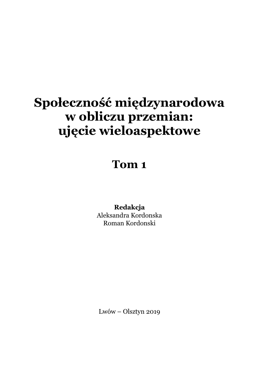# **Społeczność międzynarodowa w obliczu przemian: ujęcie wieloaspektowe**

## **Tom 1**

**Redakcja** Aleksandra Kordonska Roman Kordonski

Lwów – Olsztyn 2019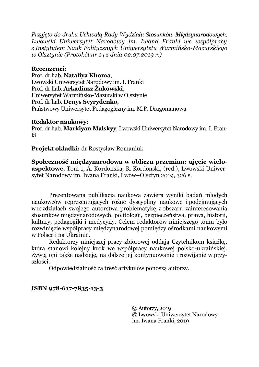*Przyjęto do druku Uchwałą Rady Wydziału Stosunków Międzynarodowych, Lwowski Uniwersytet Narodowy im. Iwana Franki we współpracy z Instytutem Nauk Politycznych Uniwersytetu Warmińsko-Mazurskiego w Olsztynie (Protokół nr 14 z dnia 02.07.2019 r.)*

#### **Recenzenci:**

Prof. dr hab. **Nataliya Khoma**, Lwowski Uniwersytet Narodowy im. I. Franki Prof. dr hab. **Arkadiusz Żukowski**, Uniwersytet Warmińsko-Mazurski w Olsztynie Prof. dr hab. **Denys Svyrydenko**, Państwowy Uniwersytet Pedagogiczny im. M.P. Dragomanowa

#### **Redaktor naukowy:**

Prof. dr hab. **Markiyan Malskyy**, Lwowski Uniwersytet Narodowy im. I. Franki

**Projekt okładki:** dr Rostysław Romaniuk

**Społeczność międzynarodowa w obliczu przemian: ujęcie wieloaspektowe**, Tom 1, A. Kordonska, R. Kordonski, (red.), Lwowski Uniwersytet Narodowy im. Iwana Franki, Lwów–Olsztyn 2019, 326 s.

Prezentowana publikacja naukowa zawiera wyniki badań młodych naukowców reprezentujących różne dyscypliny naukowe i podejmujących w rozdziałach swojego autorstwa problematykę z obszaru zainteresowania stosunków międzynarodowych, politologii, bezpieczeństwa, prawa, historii, kultury, pedagogiki i medycyny. Celem redaktorów niniejszego tomu było rozwinięcie współpracy międzynarodowej pomiędzy ośrodkami naukowymi w Polsce i na Ukrainie.

Redaktorzy niniejszej pracy zbiorowej oddają Czytelnikom książkę, która stanowi kolejny krok we współpracy naukowej polsko-ukraińskiej. Żywią oni także nadzieję, na dalsze jej kontynuowanie i rozwijanie w przyszłości.

Odpowiedzialność za treść artykułów ponoszą autorzy.

**ISBN 978-617-7835-13-3**

© Autorzy, 2019 © Lwowski Uniwersytet Narodowy im. Iwana Franki, 2019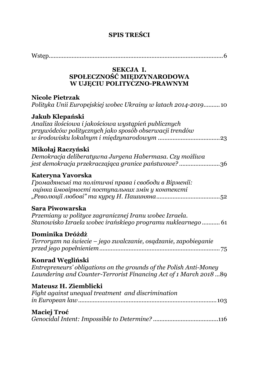## **SPIS TREŚCI**

| SEKCJA I.<br>SPOŁECZNOŚĆ MIĘDZYNARODOWA<br>W UJĘCIU POLITYCZNO-PRAWNYM                                                                                       |
|--------------------------------------------------------------------------------------------------------------------------------------------------------------|
| <b>Nicole Pietrzak</b><br>Polityka Unii Europejskiej wobec Ukrainy w latach 2014-2019 10                                                                     |
| Jakub Klepański<br>Analiza ilościowa i jakościowa wystąpień publicznych<br>przywódców politycznych jako sposób obserwacji trendów                            |
| Mikołaj Raczyński<br>Demokracja deliberatywna Jurgena Habermasa. Czy możliwa<br>jest demokracja przekraczająca granice państwowe? 36                         |
| Kateryna Yavorska<br>Громадянські та політичні права і свободи в Вірменії:<br>оцінка ймовірності поступальних змін у контексті                               |
| Sara Piwowarska<br>Przemiany w polityce zagranicznej Iranu wobec Izraela.<br>Stanowisko Izraela wobec irańskiego programu nuklearnego  61                    |
| Dominika Dróżdż<br>Terroryzm na świecie – jego zwalczanie, osądzanie, zapobieganie                                                                           |
| Konrad Węgliński<br>Entrepreneurs' obligations on the grounds of the Polish Anti-Money<br>Laundering and Counter-Terrorist Financing Act of 1 March 2018  89 |
| Mateusz H. Ziemblicki<br>Fight against unequal treatment and discrimination                                                                                  |
| <b>Maciej Troć</b>                                                                                                                                           |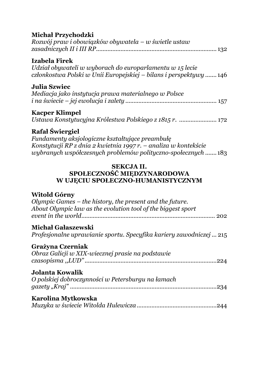## **[Michał Przychodzki](#page--1-0)**

| Rozwój praw i obowiązków obywatela – w świetle ustaw |  |
|------------------------------------------------------|--|
|                                                      |  |

## **[Izabela Firek](#page--1-0)**

*[Udział obywateli w wyborach do europarlamentu w 15 lecie](#page--1-0)  [członkostwa Polski w Unii Europejskiej –](#page--1-0) bilans i perspektywy .......* 146

#### **[Julia Szwiec](#page--1-0)**

| Mediacja jako instytucja prawa materialnego w Polsce |
|------------------------------------------------------|
|                                                      |

## **[Kacper Klimpel](#page--1-0)**

*[Ustawa Konstytucyjna Królestwa Polskiego z 1815 r](#page--1-0). .......................* 172

## **[Rafał Świergiel](#page--1-0)**

*[Fundamenty aksjologiczne ks](#page--1-0)ztałtujące preambułę [Konstytucji RP z dnia 2 kwietnia 1997 r.](#page--1-0) – analiza w kontekście [wybranych współczesnych problemów polityczno](#page--1-0)-społecznych .......* 183

#### **[SEKCJA II.](#page--1-0) [SPOŁECZNOŚĆ MIĘDZYNARODOWA](#page--1-0)  W UJĘCIU SPOŁECZNO[-HUMANISTYCZNYM](#page--1-0)**

## **[Witold Górny](#page--1-0)**

| Olympic Games - the history, the present and the future.<br>About Olympic law as the evolution tool of the biggest sport |
|--------------------------------------------------------------------------------------------------------------------------|
| Michał Gałaszewski<br>Profesjonalne uprawianie sportu. Specyfika kariery zawodniczej  215                                |
| Grażyna Czerniak<br>Obraz Galicji w XIX-wiecznej prasie na podstawie                                                     |
| Jolanta Kowalik<br>O polskiej dobroczynności w Petersburgu na łamach                                                     |
| Karolina Mytkowska                                                                                                       |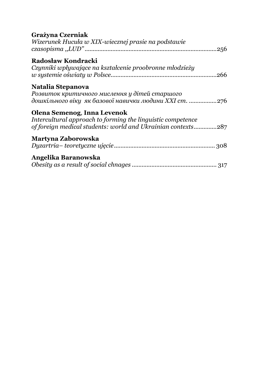## **[Grażyna Czerniak](#page--1-0)**

| Wizerunek Hucuła w XIX-wiecznej prasie na podstawie                                        |
|--------------------------------------------------------------------------------------------|
| <b>Radosław Kondracki</b>                                                                  |
| Czynniki wpływające na kształcenie proobronne młodzieży                                    |
| Natalia Stepanova                                                                          |
| Розвиток критичного мислення у дітей старшого                                              |
| дошкільного віку як базової навички людини XXI ст. 276                                     |
| Olena Semenog, Inna Levenok<br>Intercultural approach to forming the linguistic competence |
| of foreign medical students: world and Ukrainian contexts287                               |
| Martyna Zaborowska                                                                         |
|                                                                                            |
| Angelika Baranowska                                                                        |
|                                                                                            |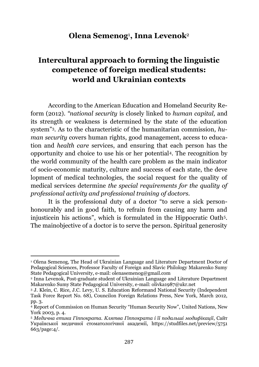## **Olena Semenog**<sup>1</sup> **, Inna Levenok**<sup>2</sup>

## <span id="page-5-1"></span><span id="page-5-0"></span>**Intercultural approach to forming the linguistic competence of foreign medical students: world and Ukrainian contexts**

According to the American Education and Homeland Security Reform (2012). *"national security* is closely linked to *human capital,* and its strength or weakness is determined by the state of the education system"3. As to the characteristic of the humanitarian commission*, human security* covers human rights, good management, access to education and *health care* services, and ensuring that each person has the opportunity and choice to use his or her potential4. The recognition by the world community of the health care problem as the main indicator of socio-economic maturity, culture and success of each state, the deve lopment of medical technologies, the social request for the quality of medical services determine *the special requirements for the quality of professional activity and professional training of doctors.*

It is the professional duty of a doctor "to serve a sick personhonourably and in good faith, to refrain from causing any harm and injusticein his actions", which is formulated in the Hippocratic Oath5. The mainobjective of a doctor is to serve the person. Spiritual generosity

 $\ddot{\phantom{a}}$ 

<sup>1</sup> Olena Semenog, The Head of Ukrainian Language and Literature Department Doctor of Pedagogical Sciences, Professor Faculty of Foreign and Slavic Philology Makarenko Sumy State Pedagogical University, e-mail: olenasemenog@gmail.com

<sup>2</sup> Inna Levenok, Post-graduate student of Ukrainian Language and Literature Department Makarenko Sumy State Pedagogical University, e-mail: olivka1987@ukr.net

<sup>3</sup> J. Klein, C. Rice, J.C. Levy, U. S. Education Reformand National Security (Independent Task Force Report No. 68), Councilon Foreign Relations Press, New York, March 2012, pp. 3.

<sup>4</sup> Report of Commission on Human Security "Human Security Now", United Nations, New York 2003, p. 4.

<sup>5</sup> *Медична етика Гіппократа. Клятва Гіппократа і її подальші модифікації*, Сайт Української медичної стоматологічної академії, https://studfiles.net/preview/5751 663/page:4/.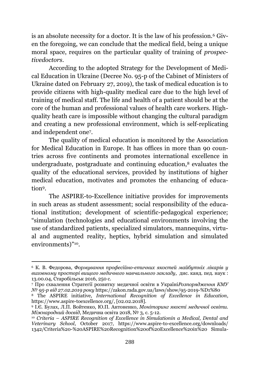is an absolute necessity for a doctor. It is the law of his profession.<sup>6</sup> Given the foregoing, we can conclude that the medical field, being a unique moral space, requires on the particular quality of training of *prospectivedoctors*.

According to the adopted Strategy for the Development of Medical Education in Ukraine (Decree No. 95-p of the Cabinet of Ministers of Ukraine dated on February 27, 2019), the task of medical education is to provide citizens with high-quality medical care due to the high level of training of medical staff. The life and health of a patient should be at the core of the human and professional values of health care workers. Highquality heath care is impossible without changing the cultural paradigm and creating a new professional environment, which is self-replicating and independent one<sup>7</sup> .

The quality of medical education is monitored by the Association for Medical Education in Europe. It has offices in more than 90 countries across five continents and promotes international excellence in undergraduate, postgraduate and continuing education, $8$  evaluates the quality of the educational services, provided by institutions of higher medical education, motivates and promotes the enhancing of education9.

The ASPIRE-to-Excellence initiative provides for improvements in such areas as student assessment; social responsibility of the educational institution; development of scientific-pedagogical experience; "simulation (technologies and educational environments involving the use of standardized patients, specialized simulators, mannequins, virtual and augmented reality, heptics, hybrid simulation and simulated environments)" 10.

<sup>6</sup> К. В. Федорова, *Формування професійно-етичних якостей майбутніх лікарів у виховному просторі вищого медичного навчального закладу,* дис. канд. пед. наук : 13.00.04, Старобільськ 2016, 250 с.

<sup>7</sup> Про схвалення Стратегії розвитку медичної освіти в Україні*Розпорядження КМУ № 95-р від 27.02.2019 року* https://zakon.rada.gov.ua/laws/show/95-2019-%D1%80

<sup>8</sup> The ASPIRE initiative, *International Recognition of Excellence in Education*, https://www.aspire-toexcellence.org/, [02.02.2018].

<sup>9</sup> І.Є. Булах, Л.П. Войтенко, Ю.П. Антоненко, *Моніторинг якості медичної освіти. Міжнародний досвід*, Медична освіта 2018, № 3, с. 5-12.

<sup>&</sup>lt;sup>10</sup> *Criteria – ASPIRE Recognition of Excellence in Simulationin a Medical, Dental and Veterinary School*, October 2017, https://www.aspire-to-excellence.org/downloads/ 1342/Criteria%20-%20ASPIRE%20Recognition%20of%20Excellence%20in%20 Simula-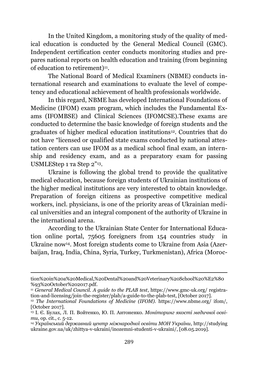In the United Kingdom, a monitoring study of the quality of medical education is conducted by the General Medical Council (GMC). Independent certification center conducts monitoring studies and prepares national reports on health education and training (from beginning of education to retirement)<sup>11</sup>.

The National Board of Medical Examiners (NBME) conducts international research and examinations to evaluate the level of competency and educational achievement of health professionals worldwide.

In this regard, NBME has developed International Foundations of Medicine (IFOM) exam program, which includes the Fundamental Exams (IFOMBSE) and Clinical Sciences (IFOMCSE).These exams are conducted to determine the basic knowledge of foreign students and the graduates of higher medical education institutions12. Countries that do not have "licensed or qualified state exams conducted by national attestation centers can use IFOM as a medical school final exam, an internship and residency exam, and as a preparatory exam for passing USMLEStep 1 та Step 2"13.

Ukraine is following the global trend to provide the qualitative medical education, because foreign students of Ukrainian institutions of the higher medical institutions are very interested to obtain knowledge. Preparation of foreign citizens as prospective competitive medical workers, incl. physicians, is one of the priority areas of Ukrainian medical universities and an integral component of the authority of Ukraine in the international arena.

According to the Ukrainian State Center for International Education online portal, 75605 foreigners from 154 countries study in Ukraine now14. Most foreign students come to Ukraine from Asia (Azerbaijan, Iraq, India, China, Syria, Turkey, Turkmenistan), Africa (Moroc-

 $\ddot{\phantom{a}}$ 

tion%20in%20a%20Medical,%20Dental%20and%20Veterinary%20School%20%E2%80 %93%20October%202017.pdf.

<sup>11</sup> *General Medical Council. A guide to the PLAB test*, https://www.gmc-uk.org/ registration-and-licensing/join-the-register/plab/a-guide-to-the-plab-test, [October 2017].

<sup>12</sup> *The International Foundations of Medicine (IFOM).* https://www.nbme.org/ ifom/, [October 2017].

<sup>&</sup>lt;sup>13</sup> І. Є. Булах, Л. П. Войтенко, Ю. П. Антоненко. *Моніторинг якості медичної освіти*, op. cit., с. 5-12.

<sup>14</sup> *Український державний центр міжнародної освіти МОН України*, http://studying ukraine.gov.ua/uk/zhittya-v-ukraini/inozemni-studenti-v-ukraini/, [08.05.2019].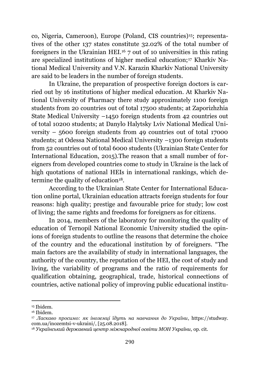co, Nigeria, Cameroon), Europe (Poland, CIS countries)15; representatives of the other 137 states constitute 32.02% of the total number of foreigners in the Ukrainian HEI.<sup>16</sup> 7 out of 10 universities in this rating are specialized institutions of higher medical education;<sup>17</sup> Kharkiv National Medical University and V.N. Karazin Kharkiv National University are said to be leaders in the number of foreign students.

In Ukraine, the preparation of prospective foreign doctors is carried out by 16 institutions of higher medical education. At Kharkiv National University of Pharmacy there study approximately 1100 foreign students from 20 countries out of total 17500 students; at Zaporizhzhia State Medical University –1450 foreign students from 42 countries out of total 10200 students; at Danylo Halytsky Lviv National Medical University – 5600 foreign students from 49 countries out of total 17000 students; at Odessa National Medical University –1300 foreign students from 52 countries out of total 6000 students (Ukrainian State Center for International Education, 2015).The reason that a small number of foreigners from developed countries come to study in Ukraine is the lack of high quotations of national HEIs in international rankings, which determine the quality of education<sup>18</sup>.

According to the Ukrainian State Center for International Education online portal, Ukrainian education attracts foreign students for four reasons: high quality; prestige and favourable price for study; low cost of living; the same rights and freedoms for foreigners as for citizens.

In 2014, members of the laboratory for monitoring the quality of education of Ternopil National Economic University studied the opinions of foreign students to outline the reasons that determine the choice of the country and the educational institution by of foreigners. "The main factors are the availability of study in international languages, the authority of the country, the reputation of the HEI, the cost of study and living, the variability of programs and the ratio of requirements for qualification obtaining, geographical, trade, historical connections of countries, active national policy of improving public educational institu-

<sup>15</sup> Ibidem.

<sup>16</sup> Ibidem.

<sup>17</sup> *Ласкаво просимо: як іноземці їдуть на навчання до України*, https://studway. com.ua/inozemtsi-v-ukraini/, [25.08.2018].

<sup>18</sup> *Український державний центр міжнародної освіти МОН України,* op. cit.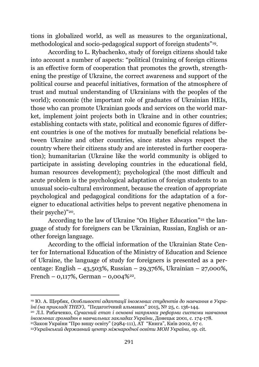tions in globalized world, as well as measures to the organizational, methodological and socio-pedagogical support of foreign students"19.

According to L. Rybachenko, study of foreign citizens should take into account a number of aspects: "political (training of foreign citizens is an effective form of cooperation that promotes the growth, strengthening the prestige of Ukraine, the correct awareness and support of the political course and peaceful initiatives, formation of the atmosphere of trust and mutual understanding of Ukrainians with the peoples of the world); economic (the important role of graduates of Ukrainian HEIs, those who can promote Ukrainian goods and services on the world market, implement joint projects both in Ukraine and in other countries; establishing contacts with state, political and economic figures of different countries is one of the motives for mutually beneficial relations between Ukraine and other countries, since states always respect the country where their citizens study and are interested in further cooperation); humanitarian (Ukraine like the world community is obliged to participate in assisting developing countries in the educational field, human resources development); psychological (the most difficult and acute problem is the psychological adaptation of foreign students to an unusual socio-cultural environment, because the creation of appropriate psychological and pedagogical conditions for the adaptation of a foreigner to educational activities helps to prevent negative phenomena in their psyche)"20.

According to the law of Ukraine "On Higher Education"<sup>21</sup> the language of study for foreigners can be Ukrainian, Russian, English or another foreign language.

According to the official information of the Ukrainian State Center for International Education of the Ministry of Education and Science of Ukraine, the language of study for foreigners is presented as a percentage: English – 43,503%, Russian – 29,376%, Ukrainian – 27,000%, French –  $0,117\%$ , German –  $0,004\%$ <sup>22</sup>.

<sup>19</sup> Ю. А. Щербяк, *Особливості адаптації іноземних студентів до навчання в Україні (на прикладі ТНЕУ)*, "Педагогічний альманах" 2015, № 25, с. 136-144.

<sup>20</sup> Л.І. Рибаченко, *Сучасний етап і основні напрямки реформи системи навчання іноземних громадян в навчальних закладах України*, Донецьк 2001, с. 174-178.

<sup>&</sup>lt;sup>21</sup>Закон України "Про вищу освіту" (2984-111), АТ "Книга", Київ 2002, 67 с.

<sup>22</sup>*Український державний центр міжнародної освіти МОН України*, op. cit.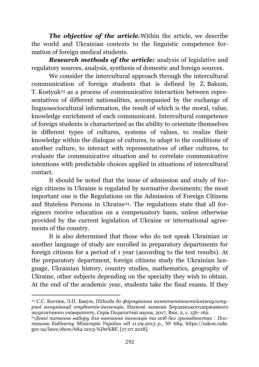*The objective of the article.*Within the article, we describe the world and Ukrainian contexts to the linguistic competence formation of foreign medical students.

*Research methods of the article:* analysis of legislative and regulatory sources, analysis, synthesis of domestic and foreign sources.

We consider the intercultural approach through the intercultural communication of foreign students that is defined by Z. Bakum, T. Kostyuk<sup>23</sup> as a process of communicative interaction between representatives of different nationalities, accompanied by the exchange of linguosociocultural information, the result of which is the moral, value, knowledge enrichment of each communicant. Intercultural competence of foreign students is characterized as the ability to orientate themselves in different types of cultures, systems of values, to realize their knowledge within the dialogue of cultures, to adapt to the conditions of another culture, to interact with representatives of other cultures, to evaluate the communicative situation and to correlate communicative intentions with predictable choices applied in situations of intercultural contact.

It should be noted that the issue of admission and study of foreign citizens in Ukraine is regulated by normative documents; the most important one is the Regulations on the Admission of Foreign Citizens and Stateless Persons in Ukraine<sup>24</sup>. The regulations state that all foreigners receive education on a compensatory basis, unless otherwise provided by the current legislation of Ukraine or international agreements of the country.

It is also determined that those who do not speak Ukrainian or another language of study are enrolled in preparatory departments for foreign citizens for a period of 1 year (according to the test results). At the preparatory department, foreign citizens study the Ukrainian language, Ukrainian history, country studies, mathematics, geography of Ukraine, other subjects depending on the specialty they wish to obtain. At the end of the academic year, students take the final exams. If they

 $\overline{\phantom{a}}$ <sup>23</sup> С.С. Костюк, З.П. Бакум, *Підходи до формування компетентностейміжкультурної комунікації студентів-іноземців*, Наукові записки Бердянськогодержавного педагогічного університету, Серія Педагогічні науки, 2017, Вип. 2, c. 156–162.

<sup>24</sup>*Деякі питання набору для навчання іноземців та осіб без громадянства : Постанова Кабінету Міністрів України від 11.09.2013 р*., № 684, https://zakon.rada. gov.ua/laws/show/684-2013-%D0%BF, [17.07.2018].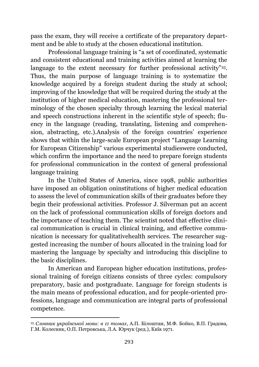pass the exam, they will receive a certificate of the preparatory department and be able to study at the chosen educational institution.

Professional language training is "a set of coordinated, systematic and consistent educational and training activities aimed at learning the language to the extent necessary for further professional activity"<sup>25</sup>. Thus, the main purpose of language training is to systematize the knowledge acquired by a foreign student during the study at school; improving of the knowledge that will be required during the study at the institution of higher medical education, mastering the professional terminology of the chosen specialty through learning the lexical material and speech constructions inherent in the scientific style of speech; fluency in the language (reading, translating, listening and comprehension, abstracting, etc.).Analysis of the foreign countries' experience shows that within the large-scale European project "Language Learning for European Citizenship" various experimental studieswere conducted, which confirm the importance and the need to prepare foreign students for professional communication in the context of general professional language training

In the United States of America, since 1998, public authorities have imposed an obligation oninstitutions of higher medical education to assess the level of communication skills of their graduates before they begin their professional activities. Professor J. Silverman put an accent on the lack of professional communication skills of foreign doctors and the importance of teaching them. The scientist noted that effective clinical communication is crucial in clinical training, and effective communication is necessary for qualitativehealth services. The researcher suggested increasing the number of hours allocated in the training load for mastering the language by specialty and introducing this discipline to the basic disciplines.

In American and European higher education institutions, professional training of foreign citizens consists of three cycles: compulsory preparatory, basic and postgraduate. Language for foreign students is the main means of professional education, and for people-oriented professions, language and communication are integral parts of professional competence.

<sup>25</sup> *Словник української мови: в 11 томах*, А.П. Білоштан, М.Ф. Бойко, В.П. Градова, Г.М. Колесник, О.П. Петровська, Л.А. Юрчук (ред.), Київ 1971.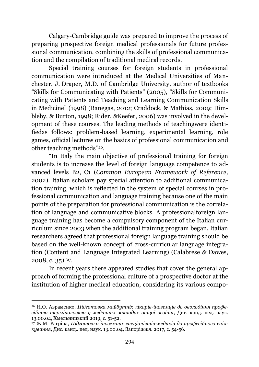Calgary-Cambridge guide was prepared to improve the process of preparing prospective foreign medical professionals for future professional communication, combining the skills of professional communication and the compilation of traditional medical records.

Special training courses for foreign students in professional communication were introduced at the Medical Universities of Manchester. J. Draper, M.D. of Cambridge University, author of textbooks "Skills for Communicating with Patients" (2005), "Skills for Communicating with Patients and Teaching and Learning Communication Skills in Medicine" (1998) (Banegas, 2012; Craddock, & Mathias, 2009; Dimbleby, & Burton, 1998; Rider, &Keefer, 2006) was involved in the development of these courses. The leading methods of teachingwere identifiedas follows: problem-based learning, experimental learning, role games, official lectures on the basics of professional communication and other teaching methods"26.

"In Italy the main objective of professional training for foreign students is to increase the level of foreign language competence to advanced levels B2, C1 (*Common European Framework of Reference,*  2002). Italian scholars pay special attention to additional communication training, which is reflected in the system of special courses in professional communication and language training because one of the main points of the preparation for professional communication is the correlation of language and communicative blocks. A professionalforeign language training has become a compulsory component of the Italian curriculum since 2003 when the additional training program began. Italian researchers agreed that professional foreign language training should be based on the well-known concept of cross-curricular language integration (Content and Language Integrated Learning) (Calabrese & Dawes,  $2008, c. 35)^{v_{27}}.$ 

In recent years there appeared studies that cover the general approach of forming the professional culture of a prospective doctor at the institution of higher medical education, considering its various compo-

<sup>26</sup> Н.О. Авраменко, *Підготовка майбутніх лікарів-іноземців до оволодіння професійною термінологією у медичних закладах вищої освіти*, Дис. канд. пед. наук. 13.00.04, Хмельницький 2019, c. 51-52.

<sup>27</sup> Ж.М. Рагріна, *Підготовка іноземних спеціалістів-медиків до професійного спілкування*, Дис. канд.. пед. наук. 13.00.04, Запоріжжя. 2017, c. 54-56.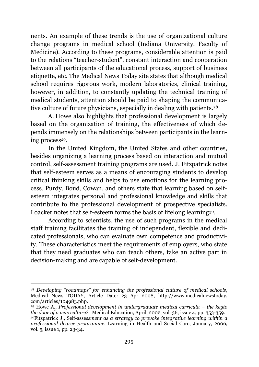nents. An example of these trends is the use of organizational culture change programs in medical school (Indiana University, Faculty of Medicine). According to these programs, considerable attention is paid to the relations "teacher-student", constant interaction and cooperation between all participants of the educational process, support of business etiquette, etc. The Medical News Today site states that although medical school requires rigorous work, modern laboratories, clinical training, however, in addition, to constantly updating the technical training of medical students, attention should be paid to shaping the communicative culture of future physicians, especially in dealing with patients.<sup>28</sup>

A. Howe also highlights that professional development is largely based on the organization of training, the effectiveness of which depends immensely on the relationships between participants in the learning process<sup>29</sup>.

In the United Kingdom, the United States and other countries, besides organizing a learning process based on interaction and mutual control, self-assessment training programs are used. J. Fitzpatrick notes that self-esteem serves as a means of encouraging students to develop critical thinking skills and helps to use emotions for the learning process. Purdy, Boud, Cowan, and others state that learning based on selfesteem integrates personal and professional knowledge and skills that contribute to the professional development of prospective specialists. Loacker notes that self-esteem forms the basis of lifelong learning<sup>30</sup>.

According to scientists, the use of such programs in the medical staff training facilitates the training of independent, flexible and dedicated professionals, who can evaluate own competence and productivity. These characteristics meet the requirements of employers, who state that they need graduates who can teach others, take an active part in decision-making and are capable of self-development.

1

<sup>28</sup> *Developing "roadmaps" for enhancing the professional culture of medical schools*, Medical News TODAY, Article Date: 23 Apr 2008, http://www.medicalnewstoday. com/articles/104983.php.

<sup>29</sup> Howe A., *Professional development in undergraduate medical curricula – the keyto the door of a new culture?*, Medical Education, April, 2002, vol. 36, іssue 4, pp. 353-359. <sup>30</sup>Fitzpatrick J., Self-asse*ssment as a strategy to provoke integrative learning within a professional degree programme*, Learning in Health and Social Care, January, 2006, vol. 5, іssue 1, pp. 23-34.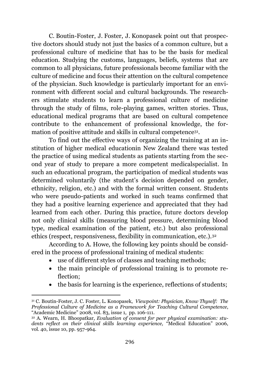C. Boutin-Foster, J. Foster, J. Konopasek point out that prospective doctors should study not just the basics of a common culture, but a professional culture of medicine that has to be the basis for medical education. Studying the customs, languages, beliefs, systems that are common to all physicians, future professionals become familiar with the culture of medicine and focus their attention on the cultural competence of the physician. Such knowledge is particularly important for an environment with different social and cultural backgrounds. The researchers stimulate students to learn a professional culture of medicine through the study of films, role-playing games, written stories. Thus, educational medical programs that are based on cultural competence contribute to the enhancement of professional knowledge, the formation of positive attitude and skills in cultural competence<sup>31</sup> .

To find out the effective ways of organizing the training at an institution of higher medical educationin New Zealand there was tested the practice of using medical students as patients starting from the second year of study to prepare a more competent medicalspecialist. In such an educational program, the participation of medical students was determined voluntarily (the student's decision depended on gender, ethnicity, religion, etc.) and with the formal written consent. Students who were pseudo-patients and worked in such teams confirmed that they had a positive learning experience and appreciated that they had learned from each other. During this practice, future doctors develop not only clinical skills (measuring blood pressure, determining blood type, medical examination of the patient, etc.) but also professional ethics (respect, responsiveness, flexibility in communication, etc.).<sup>32</sup>

According to A. Howe, the following key points should be considered in the process of professional training of medical students:

- use of different styles of classes and teaching methods;
- the main principle of professional training is to promote reflection;
- the basis for learning is the experience, reflections of students;

 $\overline{\phantom{a}}$ 

<sup>31</sup> C. Boutin-Foster, J. C. Foster, L. Konopasek, *Viewpoint: Physician, Know Thyself: The Professional Culture of Medicine as a Framework for Teaching Cultural Competence*, "Academic Medicine" 2008, vol. 83, іssue 1, pp. 106-111.

<sup>32</sup> A. Wearn, H. Bhoopatkar, *Evaluation of consent for peer physical examination: students reflect on their clinical skills learning experience,* "Medical Education" 2006, vol. 40, issue 10, pp. 957-964.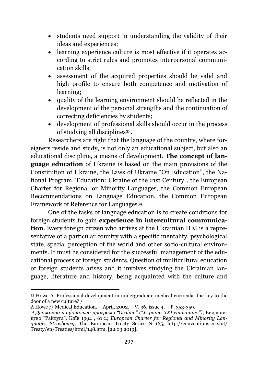- students need support in understanding the validity of their ideas and experiences;
- learning experience culture is most effective if it operates according to strict rules and promotes interpersonal communication skills;
- assessment of the acquired properties should be valid and high profile to ensure both competence and motivation of learning;
- quality of the learning environment should be reflected in the development of the personal strengths and the continuation of correcting deficiencies by students;
- development of professional skills should occur in the process of studying all disciplines<sup>33</sup>.

Researchers are right that the language of the country, where foreigners reside and study, is not only an educational subject, but also an educational discipline, a means of development. **The concept of language education** of Ukraine is based on the main provisions of the Constitution of Ukraine, the Laws of Ukraine "On Education", the National Program "Education: Ukraine of the 21st Century", the European Charter for Regional or Minority Languages, the Common European Recommendations on Language Education, the Common European Framework of Reference for Languages34.

One of the tasks of language education is to create conditions for foreign students to gain **experience in intercultural communication**. Every foreign citizen who arrives at the Ukrainian HEI is a representative of a particular country with a specific mentality, psychological state, special perception of the world and other socio-cultural environments. It must be considered for the successful management of the educational process of foreign students. Question of multicultural education of foreign students arises and it involves studying the Ukrainian language, literature and history, being acquainted with the culture and

<sup>33</sup> Howe A. Professional development in undergraduate medical curricula–the key to the door of a new culture? /

A Howe // Medical Education. – April, 2002. – V. 36, іssue 4. – P. 353-359.

<sup>34</sup> *Державна національна програма "Освіта" ("Україна ХХІ століття")*, Видавництво "Райдуга", Київ 1994 , 61 с.; *European Charter for Regional and Minority Languages Strasbourg,* The European Treaty Series N 165, http://conventions.coe.int/ Treaty/en/Treaties/html/148.htm, [22.03.2019].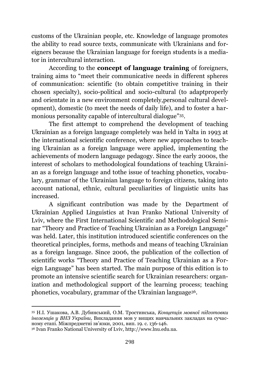customs of the Ukrainian people, etc. Knowledge of language promotes the ability to read source texts, communicate with Ukrainians and foreigners because the Ukrainian language for foreign students is a mediator in intercultural interaction.

According to the **concept of language training** of foreigners, training aims to "meet their communicative needs in different spheres of communication: scientific (to obtain competitive training in their chosen specialty), socio-political and socio-cultural (to adaptproperly and orientate in a new environment completely,personal cultural development), domestic (to meet the needs of daily life), and to foster a harmonious personality capable of intercultural dialogue"35.

The first attempt to comprehend the development of teaching Ukrainian as a foreign language completely was held in Yalta in 1993 at the international scientific conference, where new approaches to teaching Ukrainian as a foreign language were applied, implementing the achievements of modern language pedagogy. Since the early 2000s, the interest of scholars to methodological foundations of teaching Ukrainian as a foreign language and tothe issue of teaching phonetics, vocabulary, grammar of the Ukrainian language to foreign citizens, taking into account national, ethnic, cultural peculiarities of linguistic units has increased.

A significant contribution was made by the Department of Ukrainian Applied Linguistics at Ivan Franko National University of Lviv, where the First International Scientific and Methodological Seminar "Theory and Practice of Teaching Ukrainian as a Foreign Language" was held. Later, this institution introduced scientific conferences on the theoretical principles, forms, methods and means of teaching Ukrainian as a foreign language. Since 2006, the publication of the collection of scientific works "Theory and Practice of Teaching Ukrainian as a Foreign Language" has been started. The main purpose of this edition is to promote an intensive scientific search for Ukrainian researchers: organization and methodological support of the learning process; teaching phonetics, vocabulary, grammar of the Ukrainian language36.

<sup>35</sup> Н.І. Ушакова, А.В. Дубинський, О.М. Тростинська, *Концепція мовної підготовки іноземців у ВНЗ України,* Викладання мов у вищих навчальних закладах на сучасному етапі. Міжпредметні зв'язки, 2001, вип. 19. с. 136-146.

<sup>36</sup> Ivan Franko National University of Lviv, http://www.lnu.edu.ua.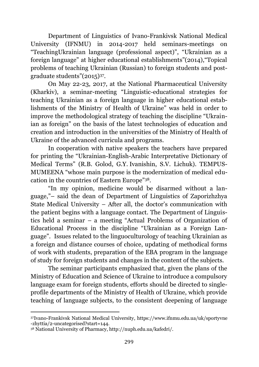Department of Linguistics of Ivano-Frankivsk National Medical University (IFNMU) in 2014-2017 held seminars-meetings on "TeachingUkrainian language (professional aspect)", "Ukrainian as a foreign language" at higher educational establishments"(2014),"Topical problems of teaching Ukrainian (Russian) to foreign students and postgraduate students"(2015)<sup>37</sup> .

On May 22-23, 2017, at the National Pharmaceutical University (Kharkiv), a seminar-meeting "Linguistic-educational strategies for teaching Ukrainian as a foreign language in higher educational establishments of the Ministry of Health of Ukraine" was held in order to improve the methodological strategy of teaching the discipline "Ukrainian as foreign" on the basis of the latest technologies of education and creation and introduction in the universities of the Ministry of Health of Ukraine of the advanced curricula and programs.

In cooperation with native speakers the teachers have prepared for printing the "Ukrainian-English-Arabic Interpretative Dictionary of Medical Terms" (R.B. Golod, G.Y. Ivanishin, S.V. Lichuk). TEMPUS-MUMEENA "whose main purpose is the modernization of medical education in the countries of Eastern Europe"38.

"In my opinion, medicine would be disarmed without a language,"– said the dean of Department of Linguistics of Zaporizhzhya State Medical University – After all, the doctor's communication with the patient begins with a language contact. The Department of Linguistics held a seminar – a meeting "Actual Problems of Organization of Educational Process in the discipline "Ukrainian as a Foreign Language". Issues related to the linguoculturology of teaching Ukrainian as a foreign and distance courses of choice, updating of methodical forms of work with students, preparation of the EBA program in the language of study for foreign students and changes in the content of the subjects.

The seminar participants emphasized that, given the plans of the Ministry of Education and Science of Ukraine to introduce a compulsory language exam for foreign students, efforts should be directed to singleprofile departments of the Ministry of Health of Ukraine, which provide teaching of language subjects, to the consistent deepening of language

 $\overline{a}$ <sup>37</sup>Ivano-Frankivsk National Medical University, https://www.ifnmu.edu.ua/uk/sportyvne -zhyttia/2-uncategorised?start=144.

<sup>38</sup> National University of Pharmacy, http://nuph.edu.ua/kafedri/.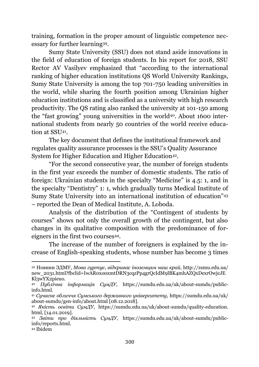training, formation in the proper amount of linguistic competence necessary for further learning39.

Sumy State University (SSU) does not stand aside innovations in the field of education of foreign students. In his report for 2018, SSU Rector AV Vasilyev emphasized that "according to the international ranking of higher education institutions QS World University Rankings, Sumy State University is among the top 701-750 leading universities in the world, while sharing the fourth position among Ukrainian higher education institutions and is classified as a university with high research productivity. The QS rating also ranked the university at 101-150 among the "fast growing" young universities in the world40. About 1600 international students from nearly 50 countries of the world receive education at SSU<sup>41</sup> .

The key document that defines the institutional framework and regulates quality assurance processes is the SSU's Quality Assurance System for Higher Education and Higher Education<sup>42</sup>.

"For the second consecutive year, the number of foreign students in the first year exceeds the number of domestic students. The ratio of foreign: Ukrainian students in the specialty "Medicine" is 4.5: 1, and in the specialty "Dentistry" 1: 1, which gradually turns Medical Institute of Sumy State University into an international institution of education"<sup>43</sup> – reported the Dean of Medical Institute, A. Loboda.

Analysis of the distribution of the "Contingent of students by courses" shows not only the overall growth of the contingent, but also changes in its qualitative composition with the predominance of foreigners in the first two courses<sup>44</sup>.

The increase of the number of foreigners is explained by the increase of English-speaking students, whose number has become 3 times

<sup>39</sup> Новини ЗДМУ, *Мова гуртує, відкриває іноземцям наш край*, http://zsmu.edu.ua/ new\_2031.html?fbclid=IwAR0xo0zmtDRN3cqzPp4grQcIdM9lBK4mhAZQxDexrOwjcJE Kl3wYX2pieuo.

<sup>40</sup> *Публічна інформація СумДУ,* https://sumdu.edu.ua/uk/about-sumdu/publicinfo.html.

<sup>41</sup> *Сучасне обличчя Сумського державного університету*, https://sumdu.edu.ua/uk/ about-sumdu/gen-info/about.html [08.12.2018].

<sup>42</sup> *Якість освіти СумДУ*, https://sumdu.edu.ua/uk/about-sumdu/quality-education. html, [14.01.2019].

<sup>43</sup> *Звіти про діяльність СумДУ*, https://sumdu.edu.ua/uk/about-sumdu/publicinfo/reports.html.

<sup>44</sup> Ibidem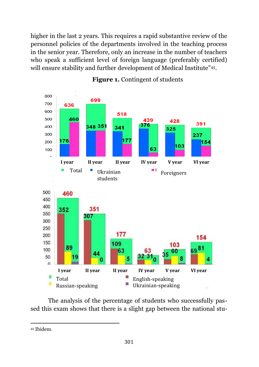higher in the last 2 years. This requires a rapid substantive review of the personnel policies of the departments involved in the teaching process in the senior year. Therefore, only an increase in the number of teachers who speak a sufficient level of foreign language (preferably certified) will ensure stability and further development of Medical Institute" 45.



#### **Figure 1.** Contingent of students

The analysis of the percentage of students who successfully passed this exam shows that there is a slight gap between the national stu-

 $\ddot{\phantom{a}}$ <sup>45</sup> Ibidem.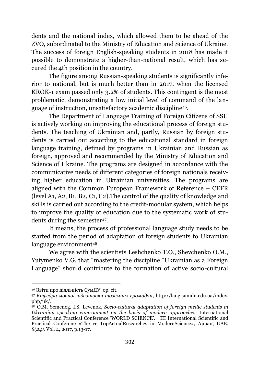dents and the national index, which allowed them to be ahead of the ZVO, subordinated to the Ministry of Education and Science of Ukraine. The success of foreign English-speaking students in 2018 has made it possible to demonstrate a higher-than-national result, which has secured the 4th position in the country.

The figure among Russian-speaking students is significantly inferior to national, but is much better than in 2017, when the licensed KROK-1 exam passed only 3.2% of students. This contingent is the most problematic, demonstrating a low initial level of command of the language of instruction, unsatisfactory academic discipline46.

The Department of Language Training of Foreign Citizens of SSU is actively working on improving the educational process of foreign students. The teaching of Ukrainian and, partly, Russian by foreign students is carried out according to the educational standard in foreign language training, defined by programs in Ukrainian and Russian as foreign, approved and recommended by the Ministry of Education and Science of Ukraine. The programs are designed in accordance with the communicative needs of different categories of foreign nationals receiving higher education in Ukrainian universities. The programs are aligned with the Common European Framework of Reference – CEFR (level А1, А2, В1, В2, С1, С2).The control of the quality of knowledge and skills is carried out according to the credit-modular system, which helps to improve the quality of education due to the systematic work of students during the semester<sup>47</sup> .

It means, the process of professional language study needs to be started from the period of adaptation of foreign students to Ukrainian language environment48.

We agree with the scientists Leshchenko T.O., Shevchenko O.M., Yufymenko V.G. that "mastering the discipline "Ukrainian as a Foreign Language" should contribute to the formation of active socio-cultural

 $\overline{a}$ <sup>46</sup> Звіти про діяльність СумДУ, op. cit.

<sup>47</sup> *Кафедра мовної підготовки іноземних громадян*, http://lang.sumdu.edu.ua/index. php/uk/.

<sup>48</sup> O.M. Semenog, I.S. Levenok, *Socio-cultural adaptation of foreign medic students in Ukrainian speaking environment on the basis of modern approaches*. International Scientific and Practical Conference 'WORLD SCIENCE'. III International Scientific and Practical Conferene «The vc TopActualResearches in ModernScience», Ajman, UAE. *8(24),* Vol. 4, 2017, p.13-17.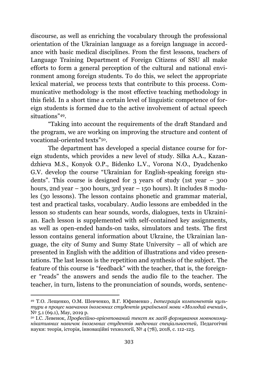discourse, as well as enriching the vocabulary through the professional orientation of the Ukrainian language as a foreign language in accordance with basic medical disciplines. From the first lessons, teachers of Language Training Department of Foreign Citizens of SSU all make efforts to form a general perception of the cultural and national environment among foreign students. To do this, we select the appropriate lexical material, we process texts that contribute to this process. Communicative methodology is the most effective teaching methodology in this field. In a short time a certain level of linguistic competence of foreign students is formed due to the active involvement of actual speech situations"49.

"Taking into account the requirements of the draft Standard and the program, we are working on improving the structure and content of vocational-oriented texts" <sup>50</sup>.

The department has developed a special distance course for foreign students, which provides a new level of study. Silka A.A., Kazandzhieva M.S., Konyok O.P., Bidenko L.V., Vorona N.O., Dyadchenko G.V. develop the course "Ukrainian for English-speaking foreign students". This course is designed for 3 years of study (1st year – 300 hours, 2nd year – 300 hours, 3rd year – 150 hours). It includes 8 modules (30 lessons). The lesson contains phonetic and grammar material, test and practical tasks, vocabulary. Audio lessons are embedded in the lesson so students can hear sounds, words, dialogues, texts in Ukrainian. Each lesson is supplemented with self-contained key assignments, as well as open-ended hands-on tasks, simulators and tests. The first lesson contains general information about Ukraine, the Ukrainian language, the city of Sumy and Sumy State University – all of which are presented in English with the addition of illustrations and video presentations. The last lesson is the repetition and synthesis of the subject. The feature of this course is "feedback" with the teacher, that is, the foreigner "reads" the answers and sends the audio file to the teacher. The teacher, in turn, listens to the pronunciation of sounds, words, sentenc-

<sup>49</sup> Т.О. Лещенко, О.М. Шевченко, В.Г. Юфименко , *Інтеграція компонентів культури в процес навчання іноземних студентів української мови «Молодий вчений»,*   $N<sup>0</sup>$  5.1 (69.1), May, 2019 р.

<sup>50</sup> І.С. Левенок, *Професійно-орієнтований текст як засіб формування мовнокомунікативних навичок іноземних студентів медичних спеціальностей,* Педагогічні науки: теорія, історія, інноваційні технології, № 4 (78), 2018, с. 112-123.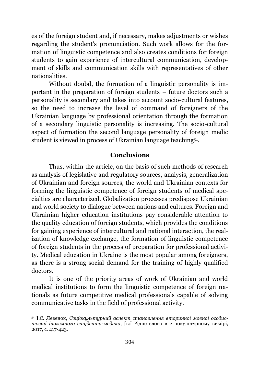es of the foreign student and, if necessary, makes adjustments or wishes regarding the student's pronunciation. Such work allows for the formation of linguistic competence and also creates conditions for foreign students to gain experience of intercultural communication, development of skills and communication skills with representatives of other nationalities.

Without doubd, the formation of a linguistic personality is important in the preparation of foreign students – future doctors such a personality is secondary and takes into account socio-cultural features, so the need to increase the level of command of foreigners of the Ukrainian language by professional orientation through the formation of a secondary linguistic personality is increasing. The socio-cultural aspect of formation the second language personality of foreign medic student is viewed in process of Ukrainian language teaching<sup>51</sup> .

#### **Conclusions**

Thus, within the article, on the basis of such methods of research as analysis of legislative and regulatory sources, analysis, generalization of Ukrainian and foreign sources, the world and Ukrainian contexts for forming the linguistic competence of foreign students of medical specialties are characterized. Globalization processes predispose Ukrainian and world society to dialogue between nations and cultures. Foreign and Ukrainian higher education institutions pay considerable attention to the quality education of foreign students, which provides the conditions for gaining experience of intercultural and national interaction, the realization of knowledge exchange, the formation of linguistic competence of foreign students in the process of preparation for professional activity. Medical education in Ukraine is the most popular among foreigners, as there is a strong social demand for the training of highly qualified doctors.

It is one of the priority areas of work of Ukrainian and world medical institutions to form the linguistic competence of foreign nationals as future competitive medical professionals capable of solving communicative tasks in the field of professional activity.

 $\overline{\phantom{a}}$ 

<sup>51</sup> І.С. Левенок, *Соціокультурний аспект становлення вторинної мовної особистості іноземного студента-медика*, [в:ї Рідне слово в етнокультурному вимірі*,*  2017, с. 417-423.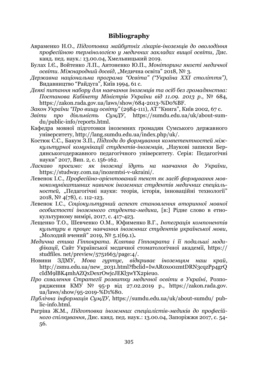#### **Bibliography**

- Авраменко Н.О., *Підготовка майбутніх лікарів-іноземців до оволодіння професійною термінологією у медичних закладах вищої освіти*, Дис. канд. пед. наук.: 13.00.04, Хмельницький 2019.
- Булах І.Є., Войтенко Л.П., Антоненко Ю.П., *Моніторинг якості медичної освіти*. *Міжнародний досвід*, "Медична освіта" 2018, № 3.
- *Державна національна програма "Освіта" ("Україна ХХІ століття")*, Видавництво "Райдуга", Київ 1994, 61 с.
- *Деякі питання набору для навчання іноземців та осіб без громадянства: Постанова Кабінету Міністрів України від 11.09. 2013 р*., № 684, https://zakon.rada.gov.ua/laws/show/684-2013-%D0%BF.
- *Закон України "Про вищу освіту"* (2984-111), АТ "Книга", Київ 2002, 67 с.
- *Звіти про діяльність СумДУ*, https://sumdu.edu.ua/uk/about-sumdu/public-info/reports.html.
- Кафедра мовної підготовки іноземних громадян Сумського державного університету, http://lang.sumdu.edu.ua/index.php/uk/.
- Костюк С.С., Бакум З.П., *Підходи до формування компетентностей міжкультурної комунікації студентів-іноземців*, "Наукові записки Бердянськогодержавного педагогічного університету. Серія: Педагогічні науки" 2017, Вип. 2, c. 156-162.
- *Ласкаво просимо: як іноземці їдуть на навчання до України*, https://studway.com.ua/inozemtsi-v-ukraini/.
- Левенок І.С., *Професійно-орієнтований текст як засіб формування мовнокомунікативних навичок іноземних студентів медичних спеціальностей,* "Педагогічні науки: теорія, історія, інноваційні технології" 2018, № 4(78), с. 112-123.
- Левенок І.С., *Соціокультурний аспект становлення вторинної мовної особистості іноземного студента-медика,* [в:] Рідне слово в етнокультурному вимірі, 2017, c. 417-423.
- Лещенко Т.О., Шевченко О.М., Юфименко В.Г., *Інтеграція компонентів культури в процес навчання іноземних студентів української мови*, "Молодий вчений" 2019, № 5.1(69.1).
- *Медична етика Гіппократа. Клятва Гіппократа і її подальші модифікації*, Сайт Української медичної стоматологічної академії, https:// studfiles. net/preview/5751663/page:4/.
- Новини ЗДМУ, *Мова гуртує, відкриває іноземцям наш край*, http://zsmu.edu.ua/new\_2031.html?fbclid=IwAR0xo0zmtDRN3cqzPp4grQ cIdM9lBK4mhAZQxDexrOwjcJEKl3wYX2pieuo.
- *Про схвалення Стратегії розвитку медичної освіти в Україні*, Розпорядження КМУ № 95-р від 27.02.2019 р., https://zakon.rada.gov. ua/laws/show/95-2019-%D1%80.
- *Публічна інформація СумДУ*, https://sumdu.edu.ua/uk/about-sumdu/ public-info.html.
- Рагріна Ж.М., *Підготовка іноземних спеціалістів-медиків до професійного спілкування*, Дис. канд. пед. наук.: 13.00.04, Запоріжжя 2017, c. 54- 56.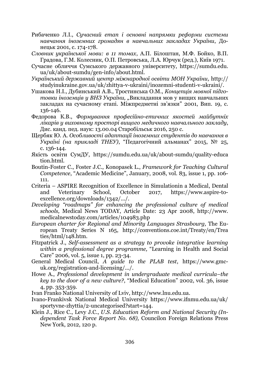- Рибаченко Л.І., *Сучасний етап і основні напрямки реформи системи навчання іноземних громадян в навчальних закладах України*, Донецьк 2001, с. 174-178.
- *Словник української мови: в 11 томах*, А.П. Білоштан, М.Ф. Бойко, В.П. Градова, Г.М. Колесник, О.П. Петровська, Л.А. Юрчук (ред.), Київ 1971.
- Сучасне обличчя Сумського державного університету, https://sumdu.edu. ua/uk/about-sumdu/gen-info/about.html.
- *Український державний центр міжнародної освіти МОН України,* http:// studyinukraine.gov.ua/uk/zhittya-v-ukraini/inozemni-studenti-v-ukraini/.
- Ушакова Н.І., Дубинський А.В., Тростинська О.М., *Концепція мовної підготовки іноземців у ВНЗ України, "*Викладання мов у вищих навчальних закладах на сучасному етапі. Міжпредметні зв'язки" 2001, Вип. 19, c. 136-146.
- Федорова К.В., *Формування професійно-етичних якостей майбутніх лікарів у виховному просторі вищого медичного навчального закладу*, Дис. канд. пед. наук: 13.00.04 Старобільськ 2016, 250 с.
- Щербяк Ю. А. *Особливості адаптації іноземних студентів до навчання в Україні (на прикладі ТНЕУ)*, "Педагогічний альманах" 2015, № 25, с. 136-144.
- Якість освіти СумДУ, https://sumdu.edu.ua/uk/about-sumdu/quality-educa tion.html.
- Boutin-Foster C., Foster J.C., Konopasek L., *Framework for Teaching Cultural Competence*, "Academic Medicine", January, 2008, vol. 83, іssue 1, pp. 106- 111.
- Criteria ASPIRE Recognition of Excellence in Simulationin a Medical, Dental and Veterinary School, October 2017, https://www.aspire-toexcellence.org/downloads/1342/.../.
- *Developing "roadmaps" for enhancing the professional culture of medical schools,* Medical News TODAY, Article Date: 23 Apr 2008, http://www. medicalnewstoday.com/articles/104983.php
- *European charter for Regional and Minority Languages Strasbourg,* The European Treaty Series N 165, http://conventions.coe.int/Treaty/en/Trea ties/html/148.htm.
- Fitzpatrick J., *Self-assessment as a strategy to provoke integrative learning within a professional degree programme,* "Learning in Health and Social Care" 2006, vol. 5, іssue 1, pp. 23-34.
- General Medical Council, *A guide to the PLAB test*, https://www.gmcuk.org/registration-and-licensing/.../.
- Howe A., *Professional development in undergraduate medical curricula–the key to the door of a new culture?*, "Medical Education" 2002, vol. 36, іssue 4, pp. 353-359.
- Ivan Franko National University of Lviv, http://www.lnu.edu.ua.
- Ivano-Frankivsk National Medical University https://www.ifnmu.edu.ua/uk/ sportyvne-zhyttia/2-uncategorised?start=144.
- Klein J., Rice C., Levy J.C., *U.S. Education Reform and National Security (Independent Task Force Report No. 68),* Councilon Foreign Relations Press New York, 2012, 120 p.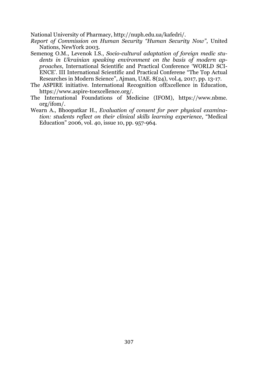National University of Pharmacy, http://nuph.edu.ua/kafedri/.

- *Report of Commission on Human Security "Human Security Now"*, United Nations, NewYork 2003.
- Semenog O.M., Levenok I.S., *Socio-cultural adaptation of foreign medic students in Ukrainian speaking environment on the basis of modern approaches*, International Scientific and Practical Conference 'WORLD SCI-ENCE'. ІІІ International Scientific and Practical Conferene "The Top Actual Researches in Modern Science", Ajman, UAE. 8(24), vol.4, 2017, pp. 13-17.
- The ASPIRE initiative. International Recognition ofExcellence in Education, https://www.aspire-toexcellence.org/.
- The International Foundations of Medicine (IFOM), https://www.nbme. org/ifom/.
- Wearn A., Bhoopatkar H., *Evaluation of consent for peer physical examination: students reflect on their clinical skills learning experience*, "Medical Education" 2006, vol. 40, issue 10, pp. 957-964.